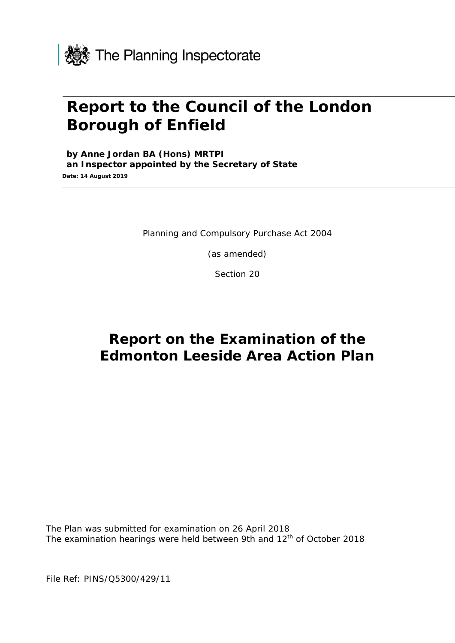

# **Report to the Council of the London Borough of Enfield**

**by Anne Jordan BA (Hons) MRTPI an Inspector appointed by the Secretary of State Date: 14 August 2019**

Planning and Compulsory Purchase Act 2004

(as amended)

Section 20

## **Report on the Examination of the Edmonton Leeside Area Action Plan**

The Plan was submitted for examination on 26 April 2018 The examination hearings were held between 9th and 12<sup>th</sup> of October 2018

File Ref: PINS/Q5300/429/11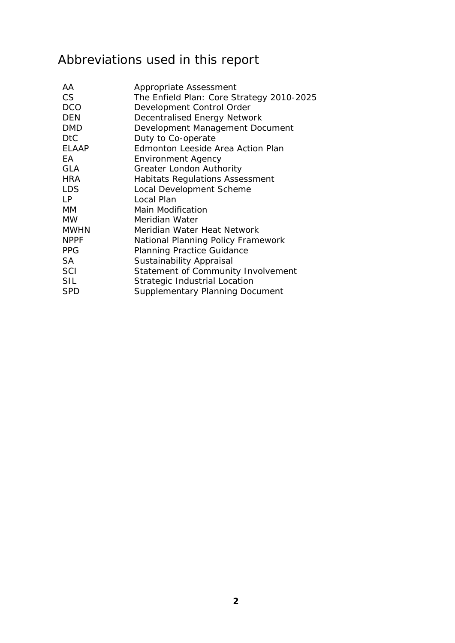# Abbreviations used in this report

| AA           | Appropriate Assessment                    |
|--------------|-------------------------------------------|
| <b>CS</b>    | The Enfield Plan: Core Strategy 2010-2025 |
| <b>DCO</b>   | Development Control Order                 |
| <b>DEN</b>   | Decentralised Energy Network              |
| <b>DMD</b>   | Development Management Document           |
| <b>DtC</b>   | Duty to Co-operate                        |
| <b>ELAAP</b> | Edmonton Leeside Area Action Plan         |
| EA           | <b>Environment Agency</b>                 |
| <b>GLA</b>   | <b>Greater London Authority</b>           |
| <b>HRA</b>   | <b>Habitats Regulations Assessment</b>    |
| <b>LDS</b>   | Local Development Scheme                  |
| <b>LP</b>    | Local Plan                                |
| MM           | <b>Main Modification</b>                  |
| <b>MW</b>    | Meridian Water                            |
| <b>MWHN</b>  | Meridian Water Heat Network               |
| <b>NPPF</b>  | National Planning Policy Framework        |
| <b>PPG</b>   | <b>Planning Practice Guidance</b>         |
| <b>SA</b>    | Sustainability Appraisal                  |
| <b>SCI</b>   | Statement of Community Involvement        |
| SIL          | Strategic Industrial Location             |
| <b>SPD</b>   | <b>Supplementary Planning Document</b>    |
|              |                                           |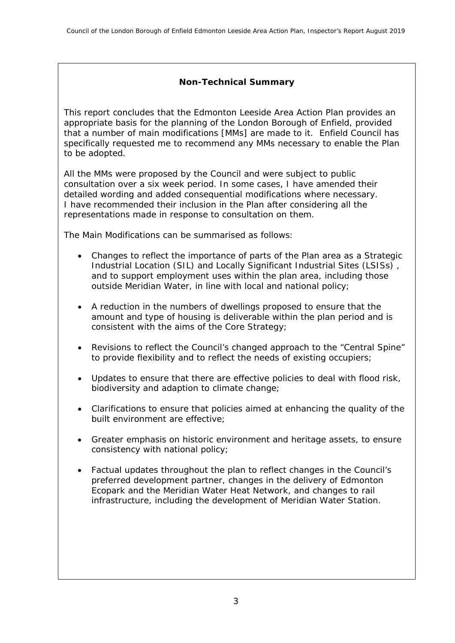#### **Non-Technical Summary**

This report concludes that the Edmonton Leeside Area Action Plan provides an appropriate basis for the planning of the London Borough of Enfield, provided that a number of main modifications [MMs] are made to it. Enfield Council has specifically requested me to recommend any MMs necessary to enable the Plan to be adopted.

All the MMs were proposed by the Council and were subject to public consultation over a six week period. In some cases, I have amended their detailed wording and added consequential modifications where necessary. I have recommended their inclusion in the Plan after considering all the representations made in response to consultation on them.

The Main Modifications can be summarised as follows:

- Changes to reflect the importance of parts of the Plan area as a Strategic Industrial Location (SIL) and Locally Significant Industrial Sites (LSISs) , and to support employment uses within the plan area, including those outside Meridian Water, in line with local and national policy;
- A reduction in the numbers of dwellings proposed to ensure that the amount and type of housing is deliverable within the plan period and is consistent with the aims of the Core Strategy;
- Revisions to reflect the Council's changed approach to the "Central Spine" to provide flexibility and to reflect the needs of existing occupiers;
- Updates to ensure that there are effective policies to deal with flood risk, biodiversity and adaption to climate change;
- Clarifications to ensure that policies aimed at enhancing the quality of the built environment are effective;
- Greater emphasis on historic environment and heritage assets, to ensure consistency with national policy;
- Factual updates throughout the plan to reflect changes in the Council's preferred development partner, changes in the delivery of Edmonton Ecopark and the Meridian Water Heat Network, and changes to rail infrastructure, including the development of Meridian Water Station.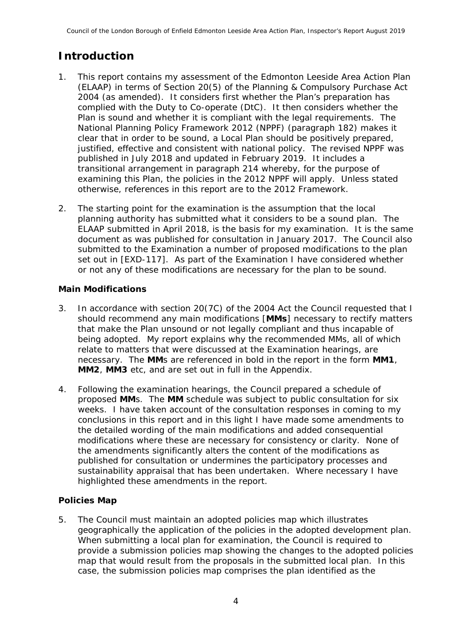## **Introduction**

- 1. This report contains my assessment of the Edmonton Leeside Area Action Plan (ELAAP) in terms of Section 20(5) of the Planning & Compulsory Purchase Act 2004 (as amended). It considers first whether the Plan's preparation has complied with the Duty to Co-operate (DtC). It then considers whether the Plan is sound and whether it is compliant with the legal requirements. The National Planning Policy Framework 2012 (NPPF) (paragraph 182) makes it clear that in order to be sound, a Local Plan should be positively prepared, justified, effective and consistent with national policy. The revised NPPF was published in July 2018 and updated in February 2019. It includes a transitional arrangement in paragraph 214 whereby, for the purpose of examining this Plan, the policies in the 2012 NPPF will apply. Unless stated otherwise, references in this report are to the 2012 Framework.
- 2. The starting point for the examination is the assumption that the local planning authority has submitted what it considers to be a sound plan. The ELAAP submitted in April 2018, is the basis for my examination. It is the same document as was published for consultation in January 2017. The Council also submitted to the Examination a number of proposed modifications to the plan set out in [EXD-117]. As part of the Examination I have considered whether or not any of these modifications are necessary for the plan to be sound.

#### **Main Modifications**

- 3. In accordance with section 20(7C) of the 2004 Act the Council requested that I should recommend any main modifications [**MMs**] necessary to rectify matters that make the Plan unsound or not legally compliant and thus incapable of being adopted. My report explains why the recommended MMs, all of which relate to matters that were discussed at the Examination hearings, are necessary. The **MM**s are referenced in bold in the report in the form **MM1**, **MM2**, **MM3** etc, and are set out in full in the Appendix.
- 4. Following the examination hearings, the Council prepared a schedule of proposed **MM**s. The **MM** schedule was subject to public consultation for six weeks. I have taken account of the consultation responses in coming to my conclusions in this report and in this light I have made some amendments to the detailed wording of the main modifications and added consequential modifications where these are necessary for consistency or clarity. None of the amendments significantly alters the content of the modifications as published for consultation or undermines the participatory processes and sustainability appraisal that has been undertaken. Where necessary I have highlighted these amendments in the report.

#### **Policies Map**

5. The Council must maintain an adopted policies map which illustrates geographically the application of the policies in the adopted development plan. When submitting a local plan for examination, the Council is required to provide a submission policies map showing the changes to the adopted policies map that would result from the proposals in the submitted local plan. In this case, the submission policies map comprises the plan identified as the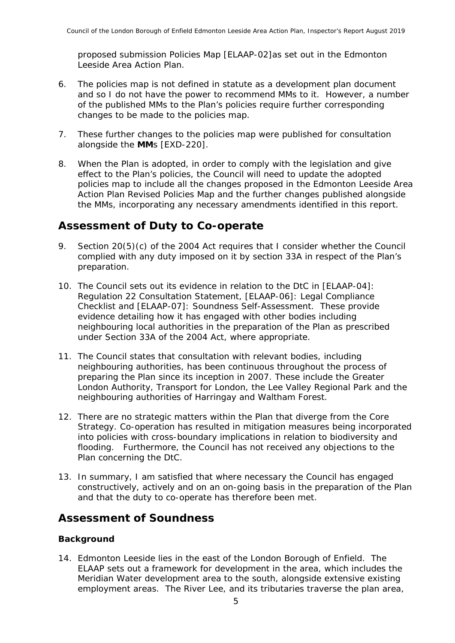proposed submission Policies Map [ELAAP-02]as set out in the Edmonton Leeside Area Action Plan.

- 6. The policies map is not defined in statute as a development plan document and so I do not have the power to recommend MMs to it. However, a number of the published MMs to the Plan's policies require further corresponding changes to be made to the policies map.
- 7. These further changes to the policies map were published for consultation alongside the **MM**s [EXD-220].
- 8. When the Plan is adopted, in order to comply with the legislation and give effect to the Plan's policies, the Council will need to update the adopted policies map to include all the changes proposed in the Edmonton Leeside Area Action Plan Revised Policies Map and the further changes published alongside the MMs, incorporating any necessary amendments identified in this report.

### **Assessment of Duty to Co-operate**

- 9. Section 20(5)(c) of the 2004 Act requires that I consider whether the Council complied with any duty imposed on it by section 33A in respect of the Plan's preparation.
- 10. The Council sets out its evidence in relation to the DtC in [ELAAP-04]: Regulation 22 Consultation Statement, [ELAAP-06]: Legal Compliance Checklist and [ELAAP-07]: Soundness Self-Assessment. These provide evidence detailing how it has engaged with other bodies including neighbouring local authorities in the preparation of the Plan as prescribed under Section 33A of the 2004 Act, where appropriate.
- 11. The Council states that consultation with relevant bodies, including neighbouring authorities, has been continuous throughout the process of preparing the Plan since its inception in 2007. These include the Greater London Authority, Transport for London, the Lee Valley Regional Park and the neighbouring authorities of Harringay and Waltham Forest.
- 12. There are no strategic matters within the Plan that diverge from the Core Strategy. Co-operation has resulted in mitigation measures being incorporated into policies with cross-boundary implications in relation to biodiversity and flooding. Furthermore, the Council has not received any objections to the Plan concerning the DtC.
- 13. In summary, I am satisfied that where necessary the Council has engaged constructively, actively and on an on-going basis in the preparation of the Plan and that the duty to co-operate has therefore been met.

### **Assessment of Soundness**

#### **Background**

14. Edmonton Leeside lies in the east of the London Borough of Enfield. The ELAAP sets out a framework for development in the area, which includes the Meridian Water development area to the south, alongside extensive existing employment areas. The River Lee, and its tributaries traverse the plan area,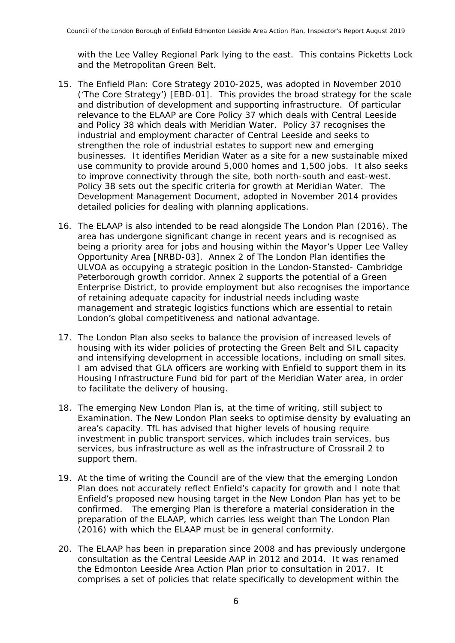with the Lee Valley Regional Park lying to the east. This contains Picketts Lock and the Metropolitan Green Belt.

- 15. The Enfield Plan: Core Strategy 2010-2025, was adopted in November 2010 ('The Core Strategy') [EBD-01]. This provides the broad strategy for the scale and distribution of development and supporting infrastructure. Of particular relevance to the ELAAP are Core Policy 37 which deals with Central Leeside and Policy 38 which deals with Meridian Water. Policy 37 recognises the industrial and employment character of Central Leeside and seeks to strengthen the role of industrial estates to support new and emerging businesses. It identifies Meridian Water as a site for a new sustainable mixed use community to provide around 5,000 homes and 1,500 jobs. It also seeks to improve connectivity through the site, both north-south and east-west. Policy 38 sets out the specific criteria for growth at Meridian Water. The Development Management Document, adopted in November 2014 provides detailed policies for dealing with planning applications.
- 16. The ELAAP is also intended to be read alongside The London Plan (2016). The area has undergone significant change in recent years and is recognised as being a priority area for jobs and housing within the Mayor's Upper Lee Valley Opportunity Area [NRBD-03]. Annex 2 of The London Plan identifies the ULVOA as occupying a strategic position in the London-Stansted- Cambridge Peterborough growth corridor. Annex 2 supports the potential of a Green Enterprise District, to provide employment but also recognises the importance of retaining adequate capacity for industrial needs including waste management and strategic logistics functions which are essential to retain London's global competitiveness and national advantage.
- 17. The London Plan also seeks to balance the provision of increased levels of housing with its wider policies of protecting the Green Belt and SIL capacity and intensifying development in accessible locations, including on small sites. I am advised that GLA officers are working with Enfield to support them in its Housing Infrastructure Fund bid for part of the Meridian Water area, in order to facilitate the delivery of housing.
- 18. The emerging New London Plan is, at the time of writing, still subject to Examination. The New London Plan seeks to optimise density by evaluating an area's capacity. TfL has advised that higher levels of housing require investment in public transport services, which includes train services, bus services, bus infrastructure as well as the infrastructure of Crossrail 2 to support them.
- 19. At the time of writing the Council are of the view that the emerging London Plan does not accurately reflect Enfield's capacity for growth and I note that Enfield's proposed new housing target in the New London Plan has yet to be confirmed. The emerging Plan is therefore a material consideration in the preparation of the ELAAP, which carries less weight than The London Plan (2016) with which the ELAAP must be in general conformity.
- 20. The ELAAP has been in preparation since 2008 and has previously undergone consultation as the Central Leeside AAP in 2012 and 2014. It was renamed the Edmonton Leeside Area Action Plan prior to consultation in 2017. It comprises a set of policies that relate specifically to development within the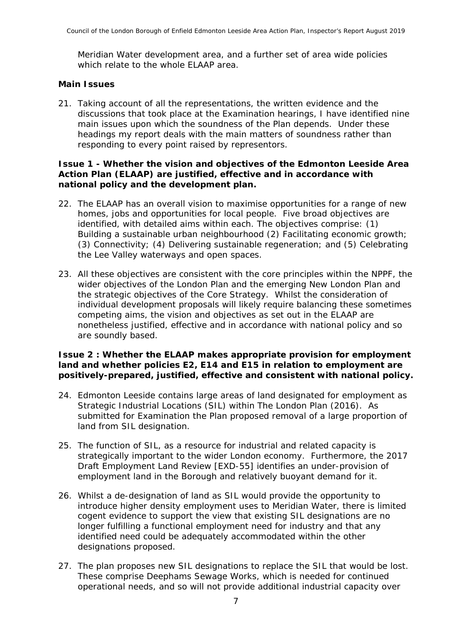Meridian Water development area, and a further set of area wide policies which relate to the whole FLAAP area.

#### **Main Issues**

21. Taking account of all the representations, the written evidence and the discussions that took place at the Examination hearings, I have identified nine main issues upon which the soundness of the Plan depends. Under these headings my report deals with the main matters of soundness rather than responding to every point raised by representors.

#### **Issue 1 - Whether the vision and objectives of the Edmonton Leeside Area Action Plan (ELAAP) are justified, effective and in accordance with national policy and the development plan.**

- 22. The ELAAP has an overall vision to maximise opportunities for a range of new homes, jobs and opportunities for local people. Five broad objectives are identified, with detailed aims within each. The objectives comprise: (1) Building a sustainable urban neighbourhood (2) Facilitating economic growth; (3) Connectivity; (4) Delivering sustainable regeneration; and (5) Celebrating the Lee Valley waterways and open spaces.
- 23. All these objectives are consistent with the core principles within the NPPF, the wider objectives of the London Plan and the emerging New London Plan and the strategic objectives of the Core Strategy. Whilst the consideration of individual development proposals will likely require balancing these sometimes competing aims, the vision and objectives as set out in the ELAAP are nonetheless justified, effective and in accordance with national policy and so are soundly based.

#### **Issue 2 : Whether the ELAAP makes appropriate provision for employment land and whether policies E2, E14 and E15 in relation to employment are positively-prepared, justified, effective and consistent with national policy.**

- 24. Edmonton Leeside contains large areas of land designated for employment as Strategic Industrial Locations (SIL) within The London Plan (2016). As submitted for Examination the Plan proposed removal of a large proportion of land from SIL designation.
- 25. The function of SIL, as a resource for industrial and related capacity is strategically important to the wider London economy. Furthermore, the 2017 Draft Employment Land Review [EXD-55] identifies an under-provision of employment land in the Borough and relatively buoyant demand for it.
- 26. Whilst a de-designation of land as SIL would provide the opportunity to introduce higher density employment uses to Meridian Water, there is limited cogent evidence to support the view that existing SIL designations are no longer fulfilling a functional employment need for industry and that any identified need could be adequately accommodated within the other designations proposed.
- 27. The plan proposes new SIL designations to replace the SIL that would be lost. These comprise Deephams Sewage Works, which is needed for continued operational needs, and so will not provide additional industrial capacity over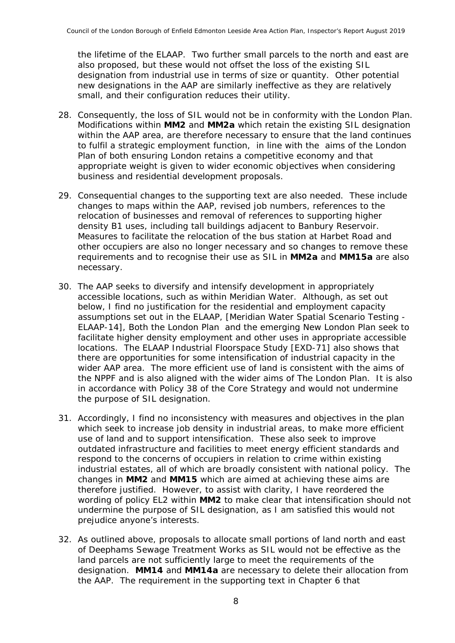the lifetime of the ELAAP. Two further small parcels to the north and east are also proposed, but these would not offset the loss of the existing SIL designation from industrial use in terms of size or quantity. Other potential new designations in the AAP are similarly ineffective as they are relatively small, and their configuration reduces their utility.

- 28. Consequently, the loss of SIL would not be in conformity with the London Plan. Modifications within **MM2** and **MM2a** which retain the existing SIL designation within the AAP area, are therefore necessary to ensure that the land continues to fulfil a strategic employment function, in line with the aims of the London Plan of both ensuring London retains a competitive economy and that appropriate weight is given to wider economic objectives when considering business and residential development proposals.
- 29. Consequential changes to the supporting text are also needed. These include changes to maps within the AAP, revised job numbers, references to the relocation of businesses and removal of references to supporting higher density B1 uses, including tall buildings adjacent to Banbury Reservoir. Measures to facilitate the relocation of the bus station at Harbet Road and other occupiers are also no longer necessary and so changes to remove these requirements and to recognise their use as SIL in **MM2a** and **MM15a** are also necessary.
- 30. The AAP seeks to diversify and intensify development in appropriately accessible locations, such as within Meridian Water. Although, as set out below, I find no justification for the residential and employment capacity assumptions set out in the ELAAP, [Meridian Water Spatial Scenario Testing - ELAAP-14], Both the London Plan and the emerging New London Plan seek to facilitate higher density employment and other uses in appropriate accessible locations. The ELAAP Industrial Floorspace Study [EXD-71] also shows that there are opportunities for some intensification of industrial capacity in the wider AAP area. The more efficient use of land is consistent with the aims of the NPPF and is also aligned with the wider aims of The London Plan. It is also in accordance with Policy 38 of the Core Strategy and would not undermine the purpose of SIL designation.
- 31. Accordingly, I find no inconsistency with measures and objectives in the plan which seek to increase job density in industrial areas, to make more efficient use of land and to support intensification. These also seek to improve outdated infrastructure and facilities to meet energy efficient standards and respond to the concerns of occupiers in relation to crime within existing industrial estates, all of which are broadly consistent with national policy. The changes in **MM2** and **MM15** which are aimed at achieving these aims are therefore justified. However, to assist with clarity, I have reordered the wording of policy EL2 within **MM2** to make clear that intensification should not undermine the purpose of SIL designation, as I am satisfied this would not prejudice anyone's interests.
- 32. As outlined above, proposals to allocate small portions of land north and east of Deephams Sewage Treatment Works as SIL would not be effective as the land parcels are not sufficiently large to meet the requirements of the designation. **MM14** and **MM14a** are necessary to delete their allocation from the AAP. The requirement in the supporting text in Chapter 6 that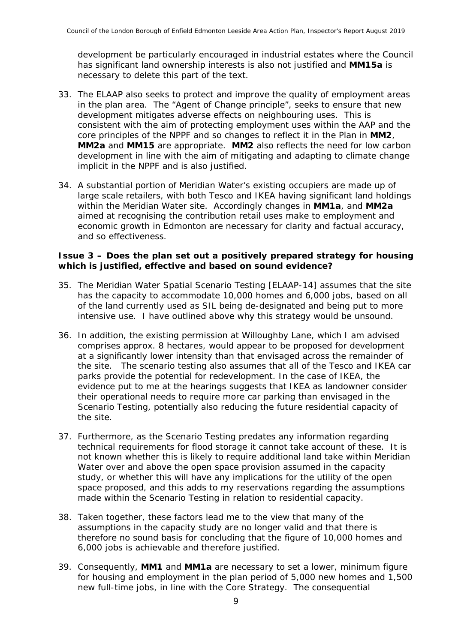development be particularly encouraged in industrial estates where the Council has significant land ownership interests is also not justified and **MM15a** is necessary to delete this part of the text.

- 33. The ELAAP also seeks to protect and improve the quality of employment areas in the plan area. The "Agent of Change principle", seeks to ensure that new development mitigates adverse effects on neighbouring uses. This is consistent with the aim of protecting employment uses within the AAP and the core principles of the NPPF and so changes to reflect it in the Plan in **MM2**, **MM2a** and **MM15** are appropriate. **MM2** also reflects the need for low carbon development in line with the aim of mitigating and adapting to climate change implicit in the NPPF and is also justified.
- 34. A substantial portion of Meridian Water's existing occupiers are made up of large scale retailers, with both Tesco and IKEA having significant land holdings within the Meridian Water site. Accordingly changes in **MM1a**, and **MM2a** aimed at recognising the contribution retail uses make to employment and economic growth in Edmonton are necessary for clarity and factual accuracy, and so effectiveness.

#### **Issue 3 – Does the plan set out a positively prepared strategy for housing which is justified, effective and based on sound evidence?**

- 35. The Meridian Water Spatial Scenario Testing [ELAAP-14] assumes that the site has the capacity to accommodate 10,000 homes and 6,000 jobs, based on all of the land currently used as SIL being de-designated and being put to more intensive use. I have outlined above why this strategy would be unsound.
- 36. In addition, the existing permission at Willoughby Lane, which I am advised comprises approx. 8 hectares, would appear to be proposed for development at a significantly lower intensity than that envisaged across the remainder of the site. The scenario testing also assumes that all of the Tesco and IKEA car parks provide the potential for redevelopment. In the case of IKEA, the evidence put to me at the hearings suggests that IKEA as landowner consider their operational needs to require more car parking than envisaged in the Scenario Testing, potentially also reducing the future residential capacity of the site.
- 37. Furthermore, as the Scenario Testing predates any information regarding technical requirements for flood storage it cannot take account of these. It is not known whether this is likely to require additional land take within Meridian Water over and above the open space provision assumed in the capacity study, or whether this will have any implications for the utility of the open space proposed, and this adds to my reservations regarding the assumptions made within the Scenario Testing in relation to residential capacity.
- 38. Taken together, these factors lead me to the view that many of the assumptions in the capacity study are no longer valid and that there is therefore no sound basis for concluding that the figure of 10,000 homes and 6,000 jobs is achievable and therefore justified.
- 39. Consequently, **MM1** and **MM1a** are necessary to set a lower, minimum figure for housing and employment in the plan period of 5,000 new homes and 1,500 new full-time jobs, in line with the Core Strategy. The consequential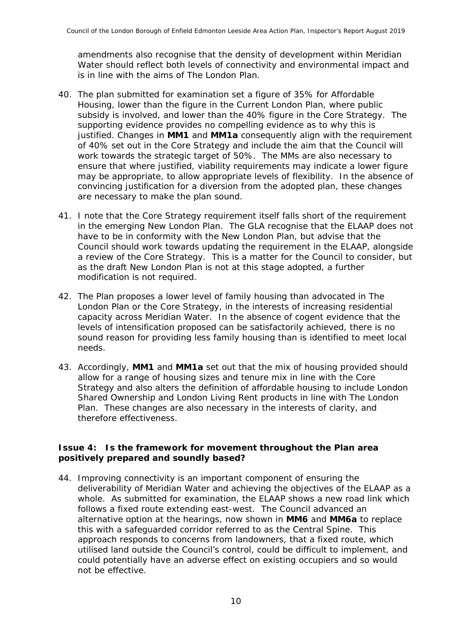amendments also recognise that the density of development within Meridian Water should reflect both levels of connectivity and environmental impact and is in line with the aims of The London Plan.

- 40. The plan submitted for examination set a figure of 35% for Affordable Housing, lower than the figure in the Current London Plan, where public subsidy is involved, and lower than the 40% figure in the Core Strategy. The supporting evidence provides no compelling evidence as to why this is justified. Changes in **MM1** and **MM1a** consequently align with the requirement of 40% set out in the Core Strategy and include the aim that the Council will work towards the strategic target of 50%. The MMs are also necessary to ensure that where justified, viability requirements may indicate a lower figure may be appropriate, to allow appropriate levels of flexibility. In the absence of convincing justification for a diversion from the adopted plan, these changes are necessary to make the plan sound.
- 41. I note that the Core Strategy requirement itself falls short of the requirement in the emerging New London Plan. The GLA recognise that the ELAAP does not have to be in conformity with the New London Plan, but advise that the Council should work towards updating the requirement in the ELAAP, alongside a review of the Core Strategy. This is a matter for the Council to consider, but as the draft New London Plan is not at this stage adopted, a further modification is not required.
- 42. The Plan proposes a lower level of family housing than advocated in The London Plan or the Core Strategy, in the interests of increasing residential capacity across Meridian Water. In the absence of cogent evidence that the levels of intensification proposed can be satisfactorily achieved, there is no sound reason for providing less family housing than is identified to meet local needs.
- 43. Accordingly, **MM1** and **MM1a** set out that the mix of housing provided should allow for a range of housing sizes and tenure mix in line with the Core Strategy and also alters the definition of affordable housing to include London Shared Ownership and London Living Rent products in line with The London Plan. These changes are also necessary in the interests of clarity, and therefore effectiveness.

#### **Issue 4: Is the framework for movement throughout the Plan area positively prepared and soundly based?**

44. Improving connectivity is an important component of ensuring the deliverability of Meridian Water and achieving the objectives of the ELAAP as a whole. As submitted for examination, the ELAAP shows a new road link which follows a fixed route extending east-west. The Council advanced an alternative option at the hearings, now shown in **MM6** and **MM6a** to replace this with a safeguarded corridor referred to as the Central Spine. This approach responds to concerns from landowners, that a fixed route, which utilised land outside the Council's control, could be difficult to implement, and could potentially have an adverse effect on existing occupiers and so would not be effective.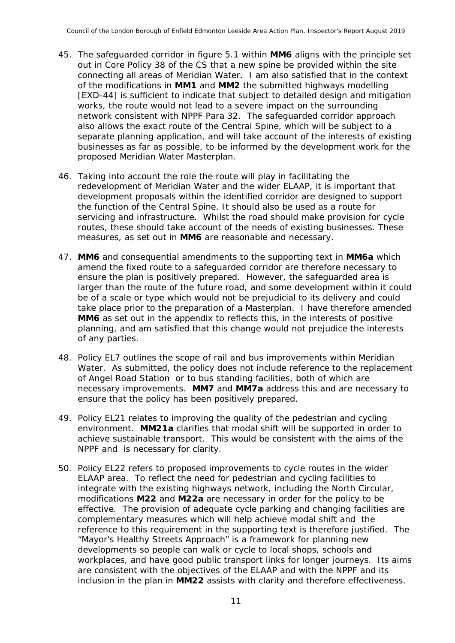- 45. The safeguarded corridor in figure 5.1 within **MM6** aligns with the principle set out in Core Policy 38 of the CS that a new spine be provided within the site connecting all areas of Meridian Water. I am also satisfied that in the context of the modifications in **MM1** and **MM2** the submitted highways modelling [EXD-44] is sufficient to indicate that subject to detailed design and mitigation works, the route would not lead to a severe impact on the surrounding network consistent with NPPF Para 32. The safeguarded corridor approach also allows the exact route of the Central Spine, which will be subject to a separate planning application, and will take account of the interests of existing businesses as far as possible, to be informed by the development work for the proposed Meridian Water Masterplan.
- 46. Taking into account the role the route will play in facilitating the redevelopment of Meridian Water and the wider ELAAP, it is important that development proposals within the identified corridor are designed to support the function of the Central Spine. It should also be used as a route for servicing and infrastructure. Whilst the road should make provision for cycle routes, these should take account of the needs of existing businesses. These measures, as set out in **MM6** are reasonable and necessary.
- 47. **MM6** and consequential amendments to the supporting text in **MM6a** which amend the fixed route to a safeguarded corridor are therefore necessary to ensure the plan is positively prepared. However, the safeguarded area is larger than the route of the future road, and some development within it could be of a scale or type which would not be prejudicial to its delivery and could take place prior to the preparation of a Masterplan. I have therefore amended **MM6** as set out in the appendix to reflects this, in the interests of positive planning, and am satisfied that this change would not prejudice the interests of any parties.
- 48. Policy EL7 outlines the scope of rail and bus improvements within Meridian Water. As submitted, the policy does not include reference to the replacement of Angel Road Station or to bus standing facilities, both of which are necessary improvements. **MM7** and **MM7a** address this and are necessary to ensure that the policy has been positively prepared.
- 49. Policy EL21 relates to improving the quality of the pedestrian and cycling environment. **MM21a** clarifies that modal shift will be supported in order to achieve sustainable transport. This would be consistent with the aims of the NPPF and is necessary for clarity.
- 50. Policy EL22 refers to proposed improvements to cycle routes in the wider ELAAP area. To reflect the need for pedestrian and cycling facilities to integrate with the existing highways network, including the North Circular, modifications **M22** and **M22a** are necessary in order for the policy to be effective. The provision of adequate cycle parking and changing facilities are complementary measures which will help achieve modal shift and the reference to this requirement in the supporting text is therefore justified. The "Mayor's Healthy Streets Approach" is a framework for planning new developments so people can walk or cycle to local shops, schools and workplaces, and have good public transport links for longer journeys. Its aims are consistent with the objectives of the ELAAP and with the NPPF and its inclusion in the plan in **MM22** assists with clarity and therefore effectiveness.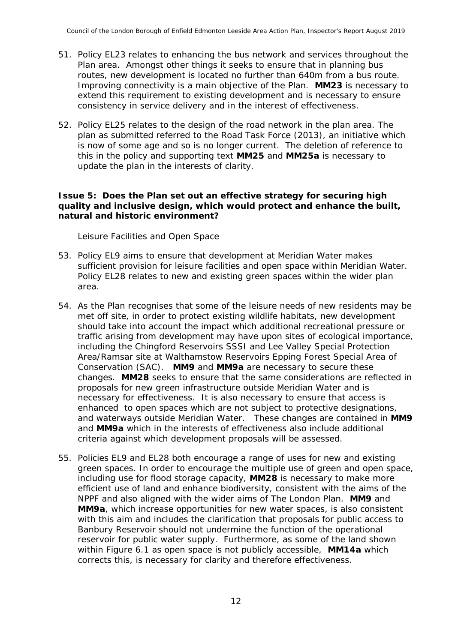- 51. Policy EL23 relates to enhancing the bus network and services throughout the Plan area. Amongst other things it seeks to ensure that in planning bus routes, new development is located no further than 640m from a bus route. Improving connectivity is a main objective of the Plan. **MM23** is necessary to extend this requirement to existing development and is necessary to ensure consistency in service delivery and in the interest of effectiveness.
- 52. Policy EL25 relates to the design of the road network in the plan area. The plan as submitted referred to the Road Task Force (2013), an initiative which is now of some age and so is no longer current. The deletion of reference to this in the policy and supporting text **MM25** and **MM25a** is necessary to update the plan in the interests of clarity.

#### **Issue 5: Does the Plan set out an effective strategy for securing high quality and inclusive design, which would protect and enhance the built, natural and historic environment?**

*Leisure Facilities and Open Space*

- 53. Policy EL9 aims to ensure that development at Meridian Water makes sufficient provision for leisure facilities and open space within Meridian Water. Policy EL28 relates to new and existing green spaces within the wider plan area.
- 54. As the Plan recognises that some of the leisure needs of new residents may be met off site, in order to protect existing wildlife habitats, new development should take into account the impact which additional recreational pressure or traffic arising from development may have upon sites of ecological importance, including the Chingford Reservoirs SSSI and Lee Valley Special Protection Area/Ramsar site at Walthamstow Reservoirs Epping Forest Special Area of Conservation (SAC). **MM9** and **MM9a** are necessary to secure these changes. **MM28** seeks to ensure that the same considerations are reflected in proposals for new green infrastructure outside Meridian Water and is necessary for effectiveness. It is also necessary to ensure that access is enhanced to open spaces which are not subject to protective designations, and waterways outside Meridian Water. These changes are contained in **MM9** and **MM9a** which in the interests of effectiveness also include additional criteria against which development proposals will be assessed.
- 55. Policies EL9 and EL28 both encourage a range of uses for new and existing green spaces. In order to encourage the multiple use of green and open space, including use for flood storage capacity, **MM28** is necessary to make more efficient use of land and enhance biodiversity, consistent with the aims of the NPPF and also aligned with the wider aims of The London Plan. **MM9** and **MM9a**, which increase opportunities for new water spaces, is also consistent with this aim and includes the clarification that proposals for public access to Banbury Reservoir should not undermine the function of the operational reservoir for public water supply. Furthermore, as some of the land shown within Figure 6.1 as open space is not publicly accessible, **MM14a** which corrects this, is necessary for clarity and therefore effectiveness.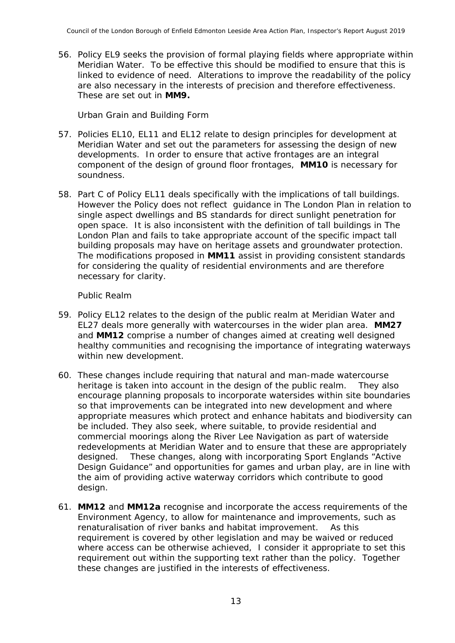56. Policy EL9 seeks the provision of formal playing fields where appropriate within Meridian Water. To be effective this should be modified to ensure that this is linked to evidence of need. Alterations to improve the readability of the policy are also necessary in the interests of precision and therefore effectiveness. These are set out in **MM9.**

#### *Urban Grain and Building Form*

- 57. Policies EL10, EL11 and EL12 relate to design principles for development at Meridian Water and set out the parameters for assessing the design of new developments. In order to ensure that active frontages are an integral component of the design of ground floor frontages, **MM10** is necessary for soundness.
- 58. Part C of Policy EL11 deals specifically with the implications of tall buildings. However the Policy does not reflect guidance in The London Plan in relation to single aspect dwellings and BS standards for direct sunlight penetration for open space. It is also inconsistent with the definition of tall buildings in The London Plan and fails to take appropriate account of the specific impact tall building proposals may have on heritage assets and groundwater protection. The modifications proposed in **MM11** assist in providing consistent standards for considering the quality of residential environments and are therefore necessary for clarity.

#### *Public Realm*

- 59. Policy EL12 relates to the design of the public realm at Meridian Water and EL27 deals more generally with watercourses in the wider plan area. **MM27** and **MM12** comprise a number of changes aimed at creating well designed healthy communities and recognising the importance of integrating waterways within new development.
- 60. These changes include requiring that natural and man-made watercourse heritage is taken into account in the design of the public realm. They also encourage planning proposals to incorporate watersides within site boundaries so that improvements can be integrated into new development and where appropriate measures which protect and enhance habitats and biodiversity can be included. They also seek, where suitable, to provide residential and commercial moorings along the River Lee Navigation as part of waterside redevelopments at Meridian Water and to ensure that these are appropriately designed. These changes, along with incorporating Sport Englands "Active Design Guidance" and opportunities for games and urban play, are in line with the aim of providing active waterway corridors which contribute to good design.
- 61. **MM12** and **MM12a** recognise and incorporate the access requirements of the Environment Agency, to allow for maintenance and improvements, such as renaturalisation of river banks and habitat improvement. As this requirement is covered by other legislation and may be waived or reduced where access can be otherwise achieved, I consider it appropriate to set this requirement out within the supporting text rather than the policy. Together these changes are justified in the interests of effectiveness.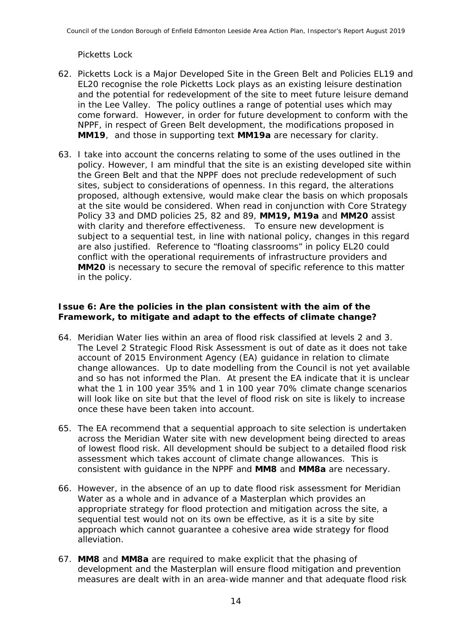#### *Picketts Lock*

- 62. Picketts Lock is a Major Developed Site in the Green Belt and Policies EL19 and EL20 recognise the role Picketts Lock plays as an existing leisure destination and the potential for redevelopment of the site to meet future leisure demand in the Lee Valley. The policy outlines a range of potential uses which may come forward. However, in order for future development to conform with the NPPF, in respect of Green Belt development, the modifications proposed in **MM19**, and those in supporting text **MM19a** are necessary for clarity.
- 63. I take into account the concerns relating to some of the uses outlined in the policy. However, I am mindful that the site is an existing developed site within the Green Belt and that the NPPF does not preclude redevelopment of such sites, subject to considerations of openness. In this regard, the alterations proposed, although extensive, would make clear the basis on which proposals at the site would be considered. When read in conjunction with Core Strategy Policy 33 and DMD policies 25, 82 and 89, **MM19, M19a** and **MM20** assist with clarity and therefore effectiveness. To ensure new development is subject to a sequential test, in line with national policy, changes in this regard are also justified. Reference to "floating classrooms" in policy EL20 could conflict with the operational requirements of infrastructure providers and **MM20** is necessary to secure the removal of specific reference to this matter in the policy.

#### **Issue 6: Are the policies in the plan consistent with the aim of the Framework, to mitigate and adapt to the effects of climate change?**

- 64. Meridian Water lies within an area of flood risk classified at levels 2 and 3. The Level 2 Strategic Flood Risk Assessment is out of date as it does not take account of 2015 Environment Agency (EA) guidance in relation to climate change allowances. Up to date modelling from the Council is not yet available and so has not informed the Plan. At present the EA indicate that it is unclear what the 1 in 100 year 35% and 1 in 100 year 70% climate change scenarios will look like on site but that the level of flood risk on site is likely to increase once these have been taken into account.
- 65. The EA recommend that a sequential approach to site selection is undertaken across the Meridian Water site with new development being directed to areas of lowest flood risk. All development should be subject to a detailed flood risk assessment which takes account of climate change allowances. This is consistent with guidance in the NPPF and **MM8** and **MM8a** are necessary.
- 66. However, in the absence of an up to date flood risk assessment for Meridian Water as a whole and in advance of a Masterplan which provides an appropriate strategy for flood protection and mitigation across the site, a sequential test would not on its own be effective, as it is a site by site approach which cannot guarantee a cohesive area wide strategy for flood alleviation.
- 67. **MM8** and **MM8a** are required to make explicit that the phasing of development and the Masterplan will ensure flood mitigation and prevention measures are dealt with in an area-wide manner and that adequate flood risk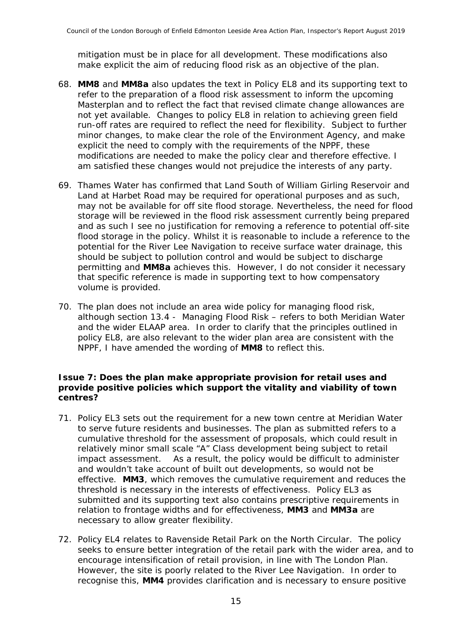mitigation must be in place for all development. These modifications also make explicit the aim of reducing flood risk as an objective of the plan.

- 68. **MM8** and **MM8a** also updates the text in Policy EL8 and its supporting text to refer to the preparation of a flood risk assessment to inform the upcoming Masterplan and to reflect the fact that revised climate change allowances are not yet available. Changes to policy EL8 in relation to achieving green field run-off rates are required to reflect the need for flexibility. Subject to further minor changes, to make clear the role of the Environment Agency, and make explicit the need to comply with the requirements of the NPPF, these modifications are needed to make the policy clear and therefore effective. I am satisfied these changes would not prejudice the interests of any party.
- 69. Thames Water has confirmed that Land South of William Girling Reservoir and Land at Harbet Road may be required for operational purposes and as such, may not be available for off site flood storage. Nevertheless, the need for flood storage will be reviewed in the flood risk assessment currently being prepared and as such I see no justification for removing a reference to potential off-site flood storage in the policy. Whilst it is reasonable to include a reference to the potential for the River Lee Navigation to receive surface water drainage, this should be subject to pollution control and would be subject to discharge permitting and **MM8a** achieves this. However, I do not consider it necessary that specific reference is made in supporting text to how compensatory volume is provided.
- 70. The plan does not include an area wide policy for managing flood risk, although section 13.4 - Managing Flood Risk – refers to both Meridian Water and the wider ELAAP area. In order to clarify that the principles outlined in policy EL8, are also relevant to the wider plan area are consistent with the NPPF, I have amended the wording of **MM8** to reflect this.

#### **Issue 7: Does the plan make appropriate provision for retail uses and provide positive policies which support the vitality and viability of town centres?**

- 71. Policy EL3 sets out the requirement for a new town centre at Meridian Water to serve future residents and businesses. The plan as submitted refers to a cumulative threshold for the assessment of proposals, which could result in relatively minor small scale "A" Class development being subject to retail impact assessment. As a result, the policy would be difficult to administer and wouldn't take account of built out developments, so would not be effective. **MM3**, which removes the cumulative requirement and reduces the threshold is necessary in the interests of effectiveness. Policy EL3 as submitted and its supporting text also contains prescriptive requirements in relation to frontage widths and for effectiveness, **MM3** and **MM3a** are necessary to allow greater flexibility.
- 72. Policy EL4 relates to Ravenside Retail Park on the North Circular. The policy seeks to ensure better integration of the retail park with the wider area, and to encourage intensification of retail provision, in line with The London Plan. However, the site is poorly related to the River Lee Navigation. In order to recognise this, **MM4** provides clarification and is necessary to ensure positive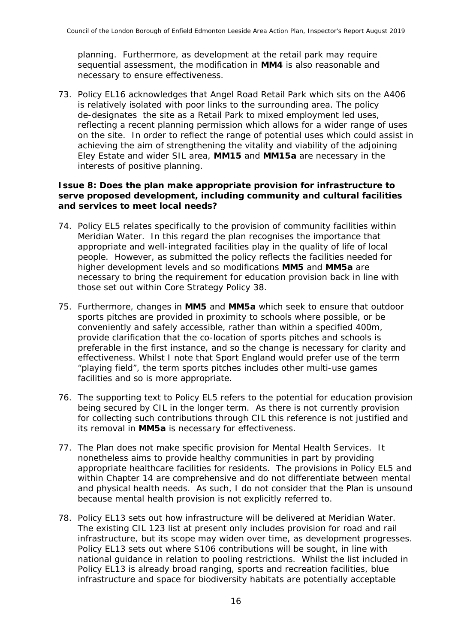planning. Furthermore, as development at the retail park may require sequential assessment, the modification in **MM4** is also reasonable and necessary to ensure effectiveness.

73. Policy EL16 acknowledges that Angel Road Retail Park which sits on the A406 is relatively isolated with poor links to the surrounding area. The policy de-designates the site as a Retail Park to mixed employment led uses, reflecting a recent planning permission which allows for a wider range of uses on the site. In order to reflect the range of potential uses which could assist in achieving the aim of strengthening the vitality and viability of the adjoining Eley Estate and wider SIL area, **MM15** and **MM15a** are necessary in the interests of positive planning.

#### **Issue 8: Does the plan make appropriate provision for infrastructure to serve proposed development, including community and cultural facilities and services to meet local needs?**

- 74. Policy EL5 relates specifically to the provision of community facilities within Meridian Water. In this regard the plan recognises the importance that appropriate and well-integrated facilities play in the quality of life of local people. However, as submitted the policy reflects the facilities needed for higher development levels and so modifications **MM5** and **MM5a** are necessary to bring the requirement for education provision back in line with those set out within Core Strategy Policy 38.
- 75. Furthermore, changes in **MM5** and **MM5a** which seek to ensure that outdoor sports pitches are provided in proximity to schools where possible, or be conveniently and safely accessible, rather than within a specified 400m, provide clarification that the co-location of sports pitches and schools is preferable in the first instance, and so the change is necessary for clarity and effectiveness. Whilst I note that Sport England would prefer use of the term "playing field", the term sports pitches includes other multi-use games facilities and so is more appropriate.
- 76. The supporting text to Policy EL5 refers to the potential for education provision being secured by CIL in the longer term. As there is not currently provision for collecting such contributions through CIL this reference is not justified and its removal in **MM5a** is necessary for effectiveness.
- 77. The Plan does not make specific provision for Mental Health Services. It nonetheless aims to provide healthy communities in part by providing appropriate healthcare facilities for residents. The provisions in Policy EL5 and within Chapter 14 are comprehensive and do not differentiate between mental and physical health needs. As such, I do not consider that the Plan is unsound because mental health provision is not explicitly referred to.
- 78. Policy EL13 sets out how infrastructure will be delivered at Meridian Water. The existing CIL 123 list at present only includes provision for road and rail infrastructure, but its scope may widen over time, as development progresses. Policy EL13 sets out where S106 contributions will be sought, in line with national guidance in relation to pooling restrictions. Whilst the list included in Policy EL13 is already broad ranging, sports and recreation facilities, blue infrastructure and space for biodiversity habitats are potentially acceptable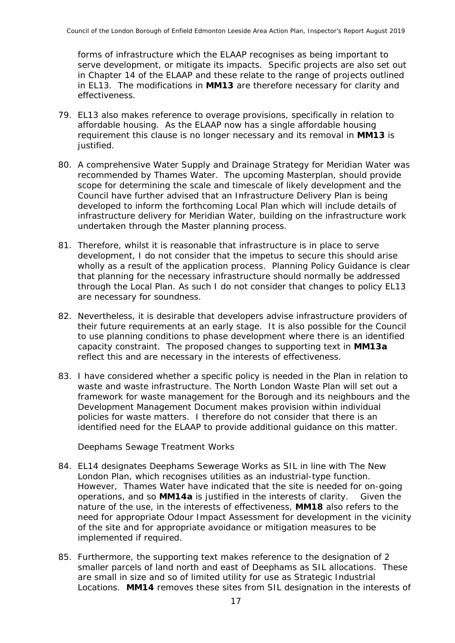forms of infrastructure which the ELAAP recognises as being important to serve development, or mitigate its impacts. Specific projects are also set out in Chapter 14 of the ELAAP and these relate to the range of projects outlined in EL13. The modifications in **MM13** are therefore necessary for clarity and effectiveness.

- 79. EL13 also makes reference to overage provisions, specifically in relation to affordable housing. As the ELAAP now has a single affordable housing requirement this clause is no longer necessary and its removal in **MM13** is justified.
- 80. A comprehensive Water Supply and Drainage Strategy for Meridian Water was recommended by Thames Water. The upcoming Masterplan, should provide scope for determining the scale and timescale of likely development and the Council have further advised that an Infrastructure Delivery Plan is being developed to inform the forthcoming Local Plan which will include details of infrastructure delivery for Meridian Water, building on the infrastructure work undertaken through the Master planning process.
- 81. Therefore, whilst it is reasonable that infrastructure is in place to serve development, I do not consider that the impetus to secure this should arise wholly as a result of the application process. Planning Policy Guidance is clear that planning for the necessary infrastructure should normally be addressed through the Local Plan. As such I do not consider that changes to policy EL13 are necessary for soundness.
- 82. Nevertheless, it is desirable that developers advise infrastructure providers of their future requirements at an early stage. It is also possible for the Council to use planning conditions to phase development where there is an identified capacity constraint. The proposed changes to supporting text in **MM13a** reflect this and are necessary in the interests of effectiveness.
- 83. I have considered whether a specific policy is needed in the Plan in relation to waste and waste infrastructure. The North London Waste Plan will set out a framework for waste management for the Borough and its neighbours and the Development Management Document makes provision within individual policies for waste matters. I therefore do not consider that there is an identified need for the ELAAP to provide additional guidance on this matter.

*Deephams Sewage Treatment Works*

- 84. EL14 designates Deephams Sewerage Works as SIL in line with The New London Plan, which recognises utilities as an industrial-type function. However, Thames Water have indicated that the site is needed for on-going operations, and so **MM14a** is justified in the interests of clarity. Given the nature of the use, in the interests of effectiveness, **MM18** also refers to the need for appropriate Odour Impact Assessment for development in the vicinity of the site and for appropriate avoidance or mitigation measures to be implemented if required.
- 85. Furthermore, the supporting text makes reference to the designation of 2 smaller parcels of land north and east of Deephams as SIL allocations. These are small in size and so of limited utility for use as Strategic Industrial Locations. **MM14** removes these sites from SIL designation in the interests of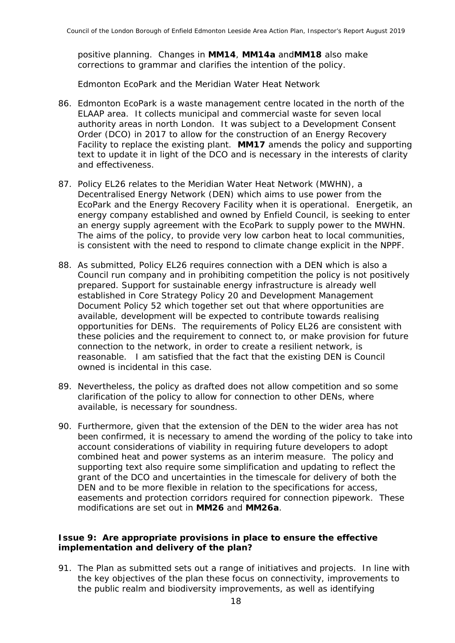positive planning. Changes in **MM14**, **MM14a** and**MM18** also make corrections to grammar and clarifies the intention of the policy.

*Edmonton EcoPark and the Meridian Water Heat Network*

- 86. Edmonton EcoPark is a waste management centre located in the north of the ELAAP area. It collects municipal and commercial waste for seven local authority areas in north London. It was subject to a Development Consent Order (DCO) in 2017 to allow for the construction of an Energy Recovery Facility to replace the existing plant. **MM17** amends the policy and supporting text to update it in light of the DCO and is necessary in the interests of clarity and effectiveness.
- 87. Policy EL26 relates to the Meridian Water Heat Network (MWHN), a Decentralised Energy Network (DEN) which aims to use power from the EcoPark and the Energy Recovery Facility when it is operational. Energetik, an energy company established and owned by Enfield Council, is seeking to enter an energy supply agreement with the EcoPark to supply power to the MWHN. The aims of the policy, to provide very low carbon heat to local communities, is consistent with the need to respond to climate change explicit in the NPPF.
- 88. As submitted, Policy EL26 requires connection with a DEN which is also a Council run company and in prohibiting competition the policy is not positively prepared. Support for sustainable energy infrastructure is already well established in Core Strategy Policy 20 and Development Management Document Policy 52 which together set out that where opportunities are available, development will be expected to contribute towards realising opportunities for DENs. The requirements of Policy EL26 are consistent with these policies and the requirement to connect to, or make provision for future connection to the network, in order to create a resilient network, is reasonable. I am satisfied that the fact that the existing DEN is Council owned is incidental in this case.
- 89. Nevertheless, the policy as drafted does not allow competition and so some clarification of the policy to allow for connection to other DENs, where available, is necessary for soundness.
- 90. Furthermore, given that the extension of the DEN to the wider area has not been confirmed, it is necessary to amend the wording of the policy to take into account considerations of viability in requiring future developers to adopt combined heat and power systems as an interim measure. The policy and supporting text also require some simplification and updating to reflect the grant of the DCO and uncertainties in the timescale for delivery of both the DEN and to be more flexible in relation to the specifications for access, easements and protection corridors required for connection pipework. These modifications are set out in **MM26** and **MM26a**.

#### **Issue 9: Are appropriate provisions in place to ensure the effective implementation and delivery of the plan?**

91. The Plan as submitted sets out a range of initiatives and projects. In line with the key objectives of the plan these focus on connectivity, improvements to the public realm and biodiversity improvements, as well as identifying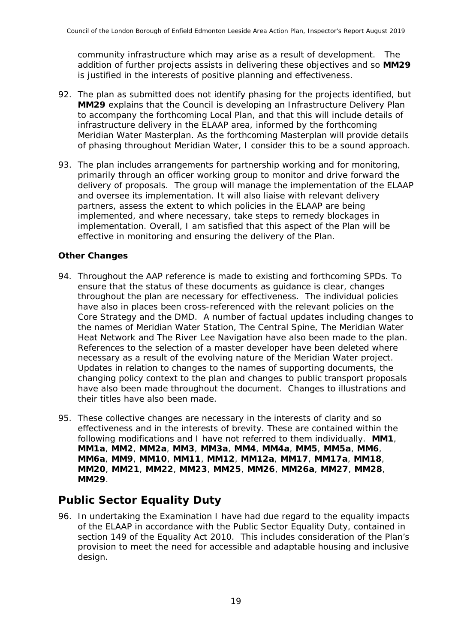community infrastructure which may arise as a result of development. The addition of further projects assists in delivering these objectives and so **MM29** is justified in the interests of positive planning and effectiveness.

- 92. The plan as submitted does not identify phasing for the projects identified, but **MM29** explains that the Council is developing an Infrastructure Delivery Plan to accompany the forthcoming Local Plan, and that this will include details of infrastructure delivery in the ELAAP area, informed by the forthcoming Meridian Water Masterplan. As the forthcoming Masterplan will provide details of phasing throughout Meridian Water, I consider this to be a sound approach.
- 93. The plan includes arrangements for partnership working and for monitoring, primarily through an officer working group to monitor and drive forward the delivery of proposals. The group will manage the implementation of the ELAAP and oversee its implementation. It will also liaise with relevant delivery partners, assess the extent to which policies in the ELAAP are being implemented, and where necessary, take steps to remedy blockages in implementation. Overall, I am satisfied that this aspect of the Plan will be effective in monitoring and ensuring the delivery of the Plan.

#### **Other Changes**

- 94. Throughout the AAP reference is made to existing and forthcoming SPDs. To ensure that the status of these documents as guidance is clear, changes throughout the plan are necessary for effectiveness. The individual policies have also in places been cross-referenced with the relevant policies on the Core Strategy and the DMD. A number of factual updates including changes to the names of Meridian Water Station, The Central Spine, The Meridian Water Heat Network and The River Lee Navigation have also been made to the plan. References to the selection of a master developer have been deleted where necessary as a result of the evolving nature of the Meridian Water project. Updates in relation to changes to the names of supporting documents, the changing policy context to the plan and changes to public transport proposals have also been made throughout the document. Changes to illustrations and their titles have also been made.
- 95. These collective changes are necessary in the interests of clarity and so effectiveness and in the interests of brevity. These are contained within the following modifications and I have not referred to them individually. **MM1**, **MM1a**, **MM2**, **MM2a**, **MM3**, **MM3a**, **MM4**, **MM4a**, **MM5**, **MM5a**, **MM6**, **MM6a**, **MM9**, **MM10**, **MM11**, **MM12**, **MM12a**, **MM17**, **MM17a**, **MM18**, **MM20**, **MM21**, **MM22**, **MM23**, **MM25**, **MM26**, **MM26a**, **MM27**, **MM28**, **MM29**.

## **Public Sector Equality Duty**

96. In undertaking the Examination I have had due regard to the equality impacts of the ELAAP in accordance with the Public Sector Equality Duty, contained in section 149 of the Equality Act 2010. This includes consideration of the Plan's provision to meet the need for accessible and adaptable housing and inclusive design.